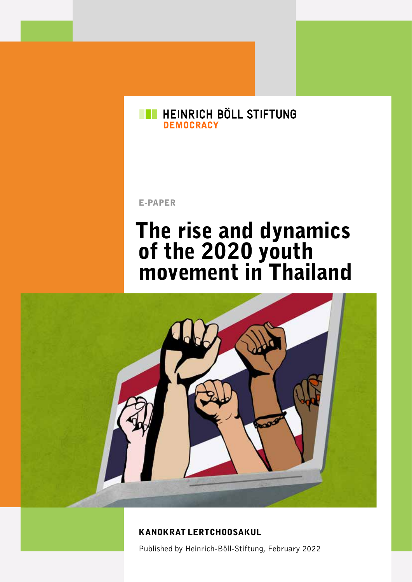#### **EN HEINRICH BÖLL STIFTUNG** DEMOCRACY

E-PAPER

# The rise and dynamics of the 2020 youth movement in Thailand



#### KANOKRAT LERTCHOOSAKUL

Published by Heinrich-Böll-Stiftung, February 2022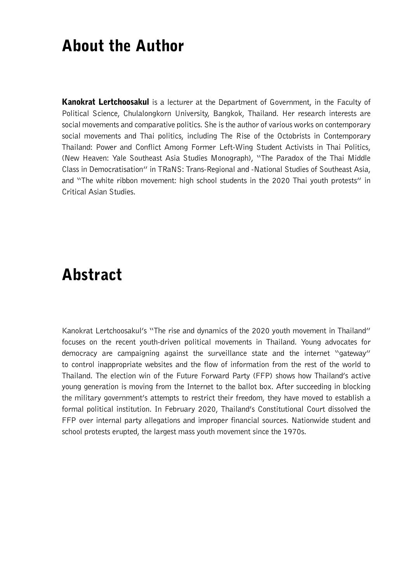#### About the Author

Kanokrat Lertchoosakul is a lecturer at the Department of Government, in the Faculty of Political Science, Chulalongkorn University, Bangkok, Thailand. Her research interests are social movements and comparative politics. She is the author of various works on contemporary social movements and Thai politics, including The Rise of the Octobrists in Contemporary Thailand: Power and Conflict Among Former Left-Wing Student Activists in Thai Politics, (New Heaven: Yale Southeast Asia Studies Monograph), "The Paradox of the Thai Middle Class in Democratisation" in TRaNS: Trans-Regional and -National Studies of Southeast Asia, and "The white ribbon movement: high school students in the 2020 Thai youth protests" in Critical Asian Studies.

#### Abstract

Kanokrat Lertchoosakul's "The rise and dynamics of the 2020 youth movement in Thailand" focuses on the recent youth-driven political movements in Thailand. Young advocates for democracy are campaigning against the surveillance state and the internet "gateway" to control inappropriate websites and the flow of information from the rest of the world to Thailand. The election win of the Future Forward Party (FFP) shows how Thailand's active young generation is moving from the Internet to the ballot box. After succeeding in blocking the military government's attempts to restrict their freedom, they have moved to establish a formal political institution. In February 2020, Thailand's Constitutional Court dissolved the FFP over internal party allegations and improper financial sources. Nationwide student and school protests erupted, the largest mass youth movement since the 1970s.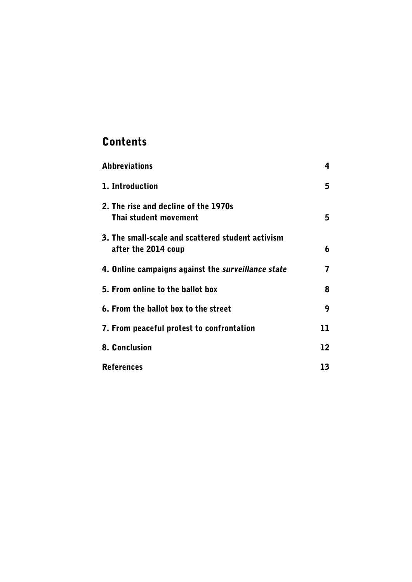#### **Contents**

| <b>Abbreviations</b>                                                     | 4  |
|--------------------------------------------------------------------------|----|
| 1. Introduction                                                          | 5  |
| 2. The rise and decline of the 1970s<br>Thai student movement            | 5  |
| 3. The small-scale and scattered student activism<br>after the 2014 coup | 6  |
| 4. Online campaigns against the surveillance state                       | 7  |
| 5. From online to the ballot box                                         | 8  |
| 6. From the ballot box to the street                                     | 9  |
| 7. From peaceful protest to confrontation                                | 11 |
| 8. Conclusion                                                            | 12 |
| <b>References</b>                                                        | 13 |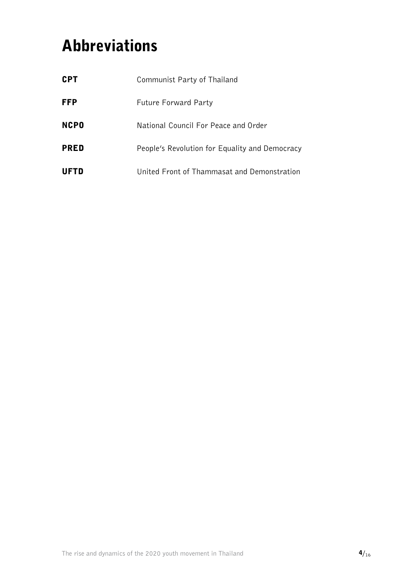## <span id="page-3-0"></span>Abbreviations

| <b>CPT</b>  | Communist Party of Thailand                    |
|-------------|------------------------------------------------|
| <b>FFP</b>  | <b>Future Forward Party</b>                    |
| <b>NCPO</b> | National Council For Peace and Order           |
| <b>PRED</b> | People's Revolution for Equality and Democracy |
| UFTD        | United Front of Thammasat and Demonstration    |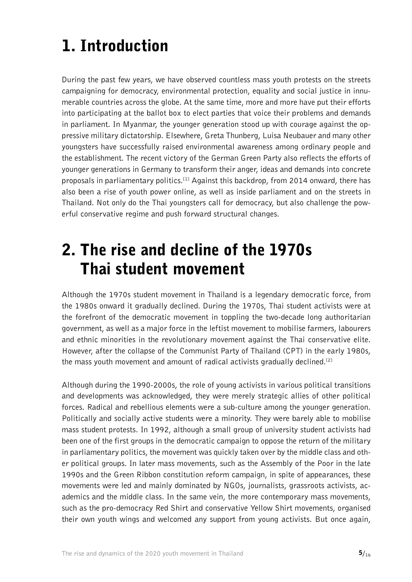# <span id="page-4-0"></span>1. Introduction

During the past few years, we have observed countless mass youth protests on the streets campaigning for democracy, environmental protection, equality and social justice in innumerable countries across the globe. At the same time, more and more have put their efforts into participating at the ballot box to elect parties that voice their problems and demands in parliament. In Myanmar, the younger generation stood up with courage against the oppressive military dictatorship. Elsewhere, Greta Thunberg, Luisa Neubauer and many other youngsters have successfully raised environmental awareness among ordinary people and the establishment. The recent victory of the German Green Party also reflects the efforts of younger generations in Germany to transform their anger, ideas and demands into concrete proposals in parliamentary politics.<sup>[1]</sup> Against this backdrop, from 2014 onward, there has also been a rise of youth power online, as well as inside parliament and on the streets in Thailand. Not only do the Thai youngsters call for democracy, but also challenge the powerful conservative regime and push forward structural changes.

### 2. The rise and decline of the 1970s Thai student movement

Although the 1970s student movement in Thailand is a legendary democratic force, from the 1980s onward it gradually declined. During the 1970s, Thai student activists were at the forefront of the democratic movement in toppling the two-decade long authoritarian government, as well as a major force in the leftist movement to mobilise farmers, labourers and ethnic minorities in the revolutionary movement against the Thai conservative elite. However, after the collapse of the Communist Party of Thailand (CPT) in the early 1980s, the mass youth movement and amount of radical activists gradually declined.<sup>[2]</sup>

Although during the 1990-2000s, the role of young activists in various political transitions and developments was acknowledged, they were merely strategic allies of other political forces. Radical and rebellious elements were a sub-culture among the younger generation. Politically and socially active students were a minority. They were barely able to mobilise mass student protests. In 1992, although a small group of university student activists had been one of the first groups in the democratic campaign to oppose the return of the military in parliamentary politics, the movement was quickly taken over by the middle class and other political groups. In later mass movements, such as the Assembly of the Poor in the late 1990s and the Green Ribbon constitution reform campaign, in spite of appearances, these movements were led and mainly dominated by NGOs, journalists, grassroots activists, academics and the middle class. In the same vein, the more contemporary mass movements, such as the pro-democracy Red Shirt and conservative Yellow Shirt movements, organised their own youth wings and welcomed any support from young activists. But once again,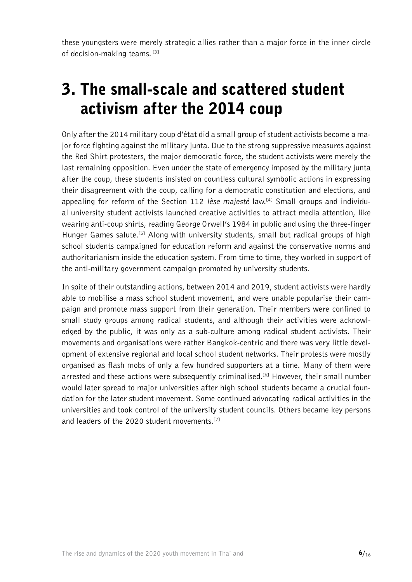<span id="page-5-0"></span>these youngsters were merely strategic allies rather than a major force in the inner circle of decision-making teams.<sup>[\[3\]](#page-12-0)</sup>

### 3. The small-scale and scattered student activism after the 2014 coup

Only after the 2014 military coup d'état did a small group of student activists become a major force fighting against the military junta. Due to the strong suppressive measures against the Red Shirt protesters, the major democratic force, the student activists were merely the last remaining opposition. Even under the state of emergency imposed by the military junta after the coup, these students insisted on countless cultural symbolic actions in expressing their disagreement with the coup, calling for a democratic constitution and elections, and appealing for reform of the Section 112 lèse majesté law.<sup>[4]</sup> Small groups and individual university student activists launched creative activities to attract media attention, like wearing anti-coup shirts, reading George Orwell's 1984 in public and using the three-finger Hunger Games salute.<sup>[5]</sup> Along with university students, small but radical groups of high school students campaigned for education reform and against the conservative norms and authoritarianism inside the education system. From time to time, they worked in support of the anti-military government campaign promoted by university students.

In spite of their outstanding actions, between 2014 and 2019, student activists were hardly able to mobilise a mass school student movement, and were unable popularise their campaign and promote mass support from their generation. Their members were confined to small study groups among radical students, and although their activities were acknowledged by the public, it was only as a sub-culture among radical student activists. Their movements and organisations were rather Bangkok-centric and there was very little development of extensive regional and local school student networks. Their protests were mostly organised as flash mobs of only a few hundred supporters at a time. Many of them were arrested and these actions were subsequently criminalised.<sup>[\[6\]](#page-12-0)</sup> However, their small number would later spread to major universities after high school students became a crucial foundation for the later student movement. Some continued advocating radical activities in the universities and took control of the university student councils. Others became key persons and leaders of the 2020 student movements.<sup>[\[7\]](#page-12-0)</sup>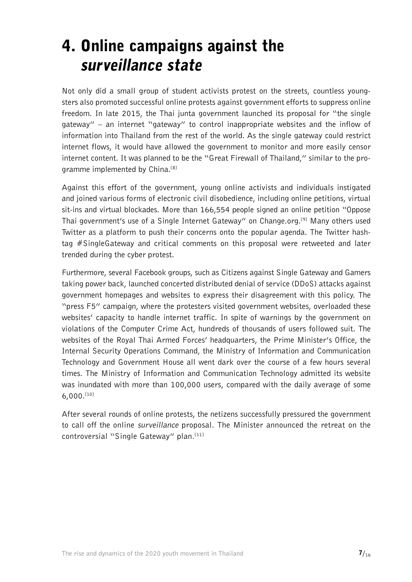#### <span id="page-6-0"></span>4. Online campaigns against the surveillance state

Not only did a small group of student activists protest on the streets, countless youngsters also promoted successful online protests against government efforts to suppress online freedom. In late 2015, the Thai junta government launched its proposal for "the single gateway" – an internet "gateway" to control inappropriate websites and the inflow of information into Thailand from the rest of the world. As the single gateway could restrict internet flows, it would have allowed the government to monitor and more easily censor internet content. It was planned to be the "Great Firewall of Thailand," similar to the pro-gramme implemented by China.<sup>[\[8\]](#page-12-0)</sup>

Against this effort of the government, young online activists and individuals instigated and joined various forms of electronic civil disobedience, including online petitions, virtual sit-ins and virtual blockades. More than 166,554 people [signed](https://www.change.org/p/thai-govt-%E0%B8%95%E0%B9%88%E0%B8%AD%E0%B8%95%E0%B9%89%E0%B8%B2%E0%B8%99%E0%B8%81%E0%B8%B2%E0%B8%A3%E0%B8%95%E0%B8%B1%E0%B9%89%E0%B8%87%E0%B8%8B%E0%B8%B4%E0%B8%87%E0%B9%80%E0%B8%81%E0%B8%B4%E0%B8%A5%E0%B9%80%E0%B8%81%E0%B8%95%E0%B9%80%E0%B8%A7%E0%B8%A2%E0%B9%8C-stop-proposed-plan-for-single-internet-gateway) an online petition "Oppose Thai government's use of a Single Internet Gateway" on Change.org.[\[9\]](#page-12-0) Many others used Twitter as a platform to push their concerns onto the popular agenda. The Twitter hashtag [#SingleGateway](https://twitter.com/hashtag/SingleGateway?src=hash) and critical comments on this proposal were retweeted and later trended during the cyber protest.

Furthermore, several Facebook groups, such as Citizens against Single Gateway and Gamers taking power back, launched concerted distributed denial of service (DDoS) attacks against government homepages and websites to express their disagreement with this policy. The "press F5" campaign, where the protesters visited government websites, overloaded these websites' capacity to handle internet traffic. In spite of warnings by the government on violations of the Computer Crime Act, hundreds of thousands of users followed suit. The websites of the Royal Thai Armed Forces' headquarters, the Prime Minister's Office, the Internal Security Operations Command, the Ministry of Information and Communication Technology and Government House all went dark over the course of a few hours several times. The Ministry of Information and Communication Technology admitted its website was inundated with more than 100,000 users, compared with the daily average of some  $6,000$ . $[10]$ 

After several rounds of online protests, the netizens successfully pressured the government to call off the online surveillance proposal. The Minister announced the retreat on the controversial "Single Gateway" plan.<sup>[11]</sup>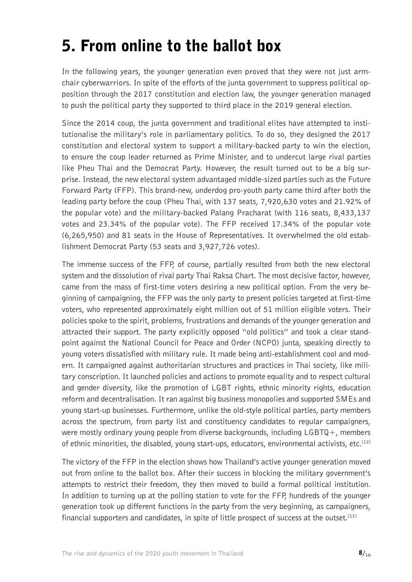## <span id="page-7-0"></span>5. From online to the ballot box

In the following years, the younger generation even proved that they were not just armchair cyberwarriors. In spite of the efforts of the junta government to suppress political opposition through the 2017 constitution and election law, the younger generation managed to push the political party they supported to third place in the 2019 general election.

Since the 2014 coup, the junta government and traditional elites have attempted to institutionalise the military's role in parliamentary politics. To do so, they designed the 2017 constitution and electoral system to support a military-backed party to win the election, to ensure the coup leader returned as Prime Minister, and to undercut large rival parties like Pheu Thai and the Democrat Party. However, the result turned out to be a big surprise. Instead, the new electoral system advantaged middle-sized parties such as the Future Forward Party (FFP). This brand-new, underdog pro-youth party came third after both the leading party before the coup (Pheu Thai, with 137 seats, 7,920,630 votes and 21.92% of the popular vote) and the military-backed Palang Pracharat (with 116 seats, 8,433,137 votes and 23.34% of the popular vote). The FFP received 17.34% of the popular vote (6,265,950) and 81 seats in the House of Representatives. It overwhelmed the old establishment Democrat Party (53 seats and 3,927,726 votes).

The immense success of the FFP, of course, partially resulted from both the new electoral system and the dissolution of rival party Thai Raksa Chart. The most decisive factor, however, came from the mass of first-time voters desiring a new political option. From the very beginning of campaigning, the FFP was the only party to present policies targeted at first-time voters, who represented approximately eight million out of 51 million eligible voters. Their policies spoke to the spirit, problems, frustrations and demands of the younger generation and attracted their support. The party explicitly opposed "old politics" and took a clear standpoint against the National Council for Peace and Order (NCPO) junta, speaking directly to young voters dissatisfied with military rule. It made being anti-establishment cool and modern. It campaigned against authoritarian structures and practices in Thai society, like military conscription. It launched policies and actions to promote equality and to respect cultural and gender diversity, like the promotion of LGBT rights, ethnic minority rights, education reform and decentralisation. It ran against big business monopolies and supported SMEs and young start-up businesses. Furthermore, unlike the old-style political parties, party members across the spectrum, from party list and constituency candidates to regular campaigners, were mostly ordinary young people from diverse backgrounds, including LGBTQ+, members of ethnic minorities, the disabled, young start-ups, educators, environmental activists, etc.<sup>[12]</sup>

The victory of the FFP in the election shows how Thailand's active younger generation moved out from online to the ballot box. After their success in blocking the military government's attempts to restrict their freedom, they then moved to build a formal political institution. In addition to turning up at the polling station to vote for the FFP, hundreds of the younger generation took up different functions in the party from the very beginning, as campaigners, financial supporters and candidates, in spite of little prospect of success at the outset.<sup>[13]</sup>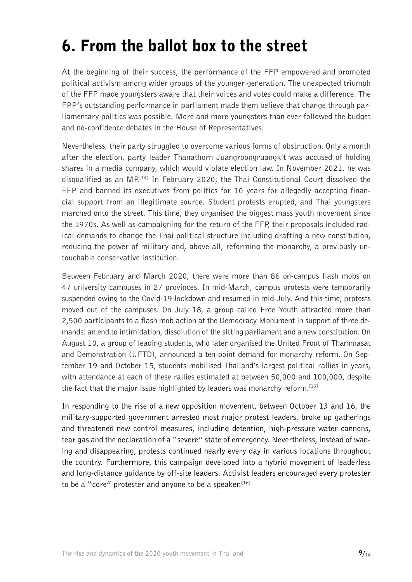### <span id="page-8-0"></span>6. From the ballot box to the street

At the beginning of their success, the performance of the FFP empowered and promoted political activism among wider groups of the younger generation. The unexpected triumph of the FFP made youngsters aware that their voices and votes could make a difference. The FPP's outstanding performance in parliament made them believe that change through parliamentary politics was possible. More and more youngsters than ever followed the budget and no-confidence debates in the House of Representatives.

Nevertheless, their party struggled to overcome various forms of obstruction. Only a month after the election, party leader Thanathorn Juangroongruangkit was accused of holding shares in a media company, which would violate election law. In November 2021, he was disqualified as an MP<sup>[14]</sup> In February 2020, the Thai Constitutional Court dissolved the FFP and banned its executives from politics for 10 years for allegedly accepting financial support from an illegitimate source. Student protests erupted, and Thai youngsters marched onto the street. This time, they organised the biggest mass youth movement since the 1970s. As well as campaigning for the return of the FFP, their proposals included radical demands to change the Thai political structure including drafting a new constitution, reducing the power of military and, above all, reforming the monarchy, a previously untouchable conservative institution.

Between February and March 2020, there were more than 86 on-campus flash mobs on 47 university campuses in 27 provinces. In mid-March, campus protests were temporarily suspended owing to the Covid-19 lockdown and resumed in mid-July. And this time, protests moved out of the campuses. On July 18, a group called Free Youth attracted more than 2,500 participants to a flash mob action at the Democracy Monument in support of three demands: an end to intimidation, dissolution of the sitting parliament and a new constitution. On August 10, a group of leading students, who later organised the United Front of Thammasat and Demonstration (UFTD), announced a ten-point demand for monarchy reform. On September 19 and October 15, students mobilised Thailand's largest political rallies in years, with attendance at each of these rallies estimated at between 50,000 and 100,000, despite the fact that the major issue highlighted by leaders was monarchy reform.<sup>[15]</sup>

In responding to the rise of a new opposition movement, between October 13 and 16, the military-supported government arrested most major protest leaders, broke up gatherings and threatened new control measures, including detention, high-pressure water cannons, tear gas and the declaration of a "severe" state of emergency. Nevertheless, instead of waning and disappearing, protests continued nearly every day in various locations throughout the country. Furthermore, this campaign developed into a hybrid movement of leaderless and long-distance guidance by off-site leaders. Activist leaders encouraged every protester to be a "core" protester and anyone to be a speaker.  $[16]$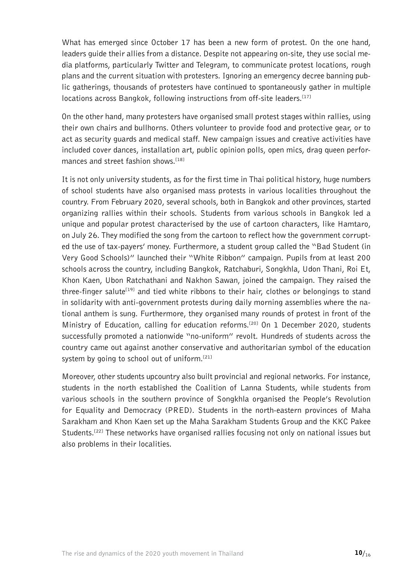What has emerged since October 17 has been a new form of protest. On the one hand, leaders guide their allies from a distance. Despite not appearing on-site, they use social media platforms, particularly Twitter and Telegram, to communicate protest locations, rough plans and the current situation with protesters. Ignoring an emergency decree banning public gatherings, thousands of protesters have continued to spontaneously gather in multiple locations across Bangkok, following instructions from off-site leaders.<sup>[17]</sup>

On the other hand, many protesters have organised small protest stages within rallies, using their own chairs and bullhorns. Others volunteer to provide food and protective gear, or to act as security guards and medical staff. New campaign issues and creative activities have included cover dances, installation art, public opinion polls, open mics, drag queen performances and street fashion shows.<sup>[18]</sup>

It is not only university students, as for the first time in Thai political history, huge numbers of school students have also organised mass protests in various localities throughout the country. From February 2020, several schools, both in Bangkok and other provinces, started organizing rallies within their schools. Students from various schools in Bangkok led a unique and popular protest characterised by the use of cartoon characters, like Hamtaro, on July 26. They modified the song from the cartoon to reflect how the government corrupted the use of tax-payers' money. Furthermore, a student group called the "Bad Student (in Very Good Schools)" launched their "White Ribbon" campaign. Pupils from at least 200 schools across the country, including Bangkok, Ratchaburi, Songkhla, Udon Thani, Roi Et, Khon Kaen, Ubon Ratchathani and Nakhon Sawan, joined the campaign. They raised the three-finger salute<sup>[19]</sup> and tied white ribbons to their hair, clothes or belongings to stand in solidarity with anti-government protests during daily morning assemblies where the national anthem is sung. Furthermore, they organised many rounds of protest in front of the Ministry of Education, calling for education reforms.<sup>[\[20\]](#page-13-0)</sup> On 1 December 2020, students successfully promoted a nationwide "no-uniform" revolt. Hundreds of students across the country came out against another conservative and authoritarian symbol of the education system by going to school out of uniform.<sup>[21]</sup>

Moreover, other students upcountry also built provincial and regional networks. For instance, students in the north established the Coalition of Lanna Students, while students from various schools in the southern province of Songkhla organised the People's Revolution for Equality and Democracy (PRED). Students in the north-eastern provinces of Maha Sarakham and Khon Kaen set up the Maha Sarakham Students Group and the KKC Pakee Students.<sup>[\[22\]](#page-13-0)</sup> These networks have organised rallies focusing not only on national issues but also problems in their localities.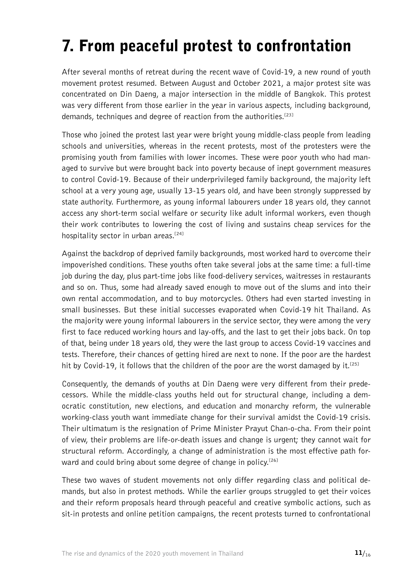# <span id="page-10-0"></span>7. From peaceful protest to confrontation

After several months of retreat during the recent wave of Covid-19, a new round of youth movement protest resumed. Between August and October 2021, a major protest site was concentrated on Din Daeng, a major intersection in the middle of Bangkok. This protest was very different from those earlier in the year in various aspects, including background, demands, techniques and degree of reaction from the authorities.<sup>[\[23\]](#page-13-0)</sup>

Those who joined the protest last year were bright young middle-class people from leading schools and universities, whereas in the recent protests, most of the protesters were the promising youth from families with lower incomes. These were poor youth who had managed to survive but were brought back into poverty because of inept government measures to control Covid-19. Because of their underprivileged family background, the majority left school at a very young age, usually 13-15 years old, and have been strongly suppressed by state authority. Furthermore, as young informal labourers under 18 years old, they cannot access any short-term social welfare or security like adult informal workers, even though their work contributes to lowering the cost of living and sustains cheap services for the hospitality sector in urban areas.<sup>[24]</sup>

Against the backdrop of deprived family backgrounds, most worked hard to overcome their impoverished conditions. These youths often take several jobs at the same time: a full-time job during the day, plus part-time jobs like food-delivery services, waitresses in restaurants and so on. Thus, some had already saved enough to move out of the slums and into their own rental accommodation, and to buy motorcycles. Others had even started investing in small businesses. But these initial successes evaporated when Covid-19 hit Thailand. As the majority were young informal labourers in the service sector, they were among the very first to face reduced working hours and lay-offs, and the last to get their jobs back. On top of that, being under 18 years old, they were the last group to access Covid-19 vaccines and tests. Therefore, their chances of getting hired are next to none. If the poor are the hardest hit by Covid-19, it follows that the children of the poor are the worst damaged by it.<sup>[\[25\]](#page-14-0)</sup>

Consequently, the demands of youths at Din Daeng were very different from their predecessors. While the middle-class youths held out for structural change, including a democratic constitution, new elections, and education and monarchy reform, the vulnerable working-class youth want immediate change for their survival amidst the Covid-19 crisis. Their ultimatum is the resignation of Prime Minister Prayut Chan-o-cha. From their point of view, their problems are life-or-death issues and change is urgent; they cannot wait for structural reform. Accordingly, a change of administration is the most effective path for-ward and could bring about some degree of change in policy.<sup>[\[26\]](#page-14-0)</sup>

These two waves of student movements not only differ regarding class and political demands, but also in protest methods. While the earlier groups struggled to get their voices and their reform proposals heard through peaceful and creative symbolic actions, such as sit-in protests and online petition campaigns, the recent protests turned to confrontational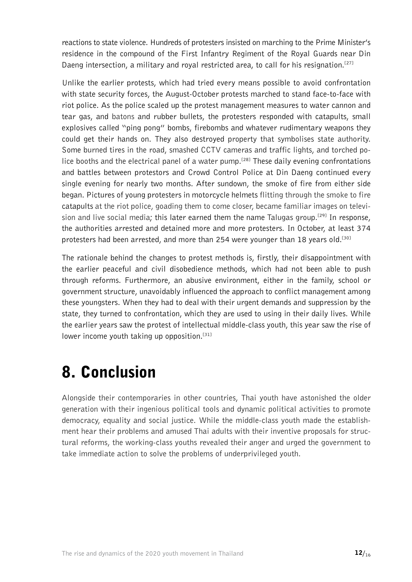<span id="page-11-0"></span>reactions to state violence. Hundreds of protesters insisted on marching to the Prime Minister's residence in the compound of the First Infantry Regiment of the Royal Guards near Din Daeng intersection, a military and royal restricted area, to call for his resignation.<sup>[\[27\]](#page-14-0)</sup>

Unlike the earlier protests, which had tried every means possible to avoid confrontation with state security forces, the August-October protests marched to stand face-to-face with riot police. As the police scaled up the protest management measures to water cannon and tear gas, and batons and rubber bullets, the protesters responded with catapults, small explosives called "ping pong" bombs, firebombs and whatever rudimentary weapons they could get their hands on. They also destroyed property that symbolises state authority. Some burned tires in the road, smashed CCTV cameras and traffic lights, and torched po-lice booths and the electrical panel of a water pump.<sup>[\[28\]](#page-14-0)</sup> These daily evening confrontations and battles between protestors and Crowd Control Police at Din Daeng continued every single evening for nearly two months. After sundown, the smoke of fire from either side began. Pictures of young protesters in motorcycle helmets flitting through the smoke to fire catapults at the riot police, goading them to come closer, became familiar images on television and live social media; this later earned them the name Talugas group.<sup>[29]</sup> In response, the authorities arrested and detained more and more protesters. In October, at least 374 protesters had been arrested, and more than 254 were younger than 18 years old.<sup>[30]</sup>

The rationale behind the changes to protest methods is, firstly, their disappointment with the earlier peaceful and civil disobedience methods, which had not been able to push through reforms. Furthermore, an abusive environment, either in the family, school or government structure, unavoidably influenced the approach to conflict management among these youngsters. When they had to deal with their urgent demands and suppression by the state, they turned to confrontation, which they are used to using in their daily lives. While the earlier years saw the protest of intellectual middle-class youth, this year saw the rise of lower income youth taking up opposition.<sup>[\[31\]](#page-14-0)</sup>

#### 8. Conclusion

Alongside their contemporaries in other countries, Thai youth have astonished the older generation with their ingenious political tools and dynamic political activities to promote democracy, equality and social justice. While the middle-class youth made the establishment hear their problems and amused Thai adults with their inventive proposals for structural reforms, the working-class youths revealed their anger and urged the government to take immediate action to solve the problems of underprivileged youth.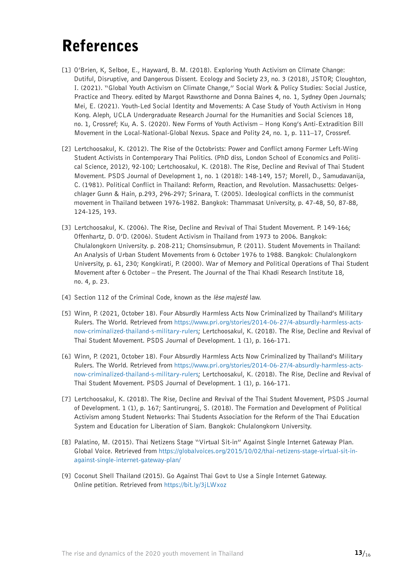### <span id="page-12-0"></span>References

- [1] O'Brien, K, Selboe, E., Hayward, B. M. (2018). Exploring Youth Activism on Climate Change: Dutiful, Disruptive, and Dangerous Dissent. Ecology and Society 23, no. 3 (2018), JSTOR; Cloughton, I. (2021). "Global Youth Activism on Climate Change," Social Work & Policy Studies: Social Justice, Practice and Theory. edited by Margot Rawsthorne and Donna Baines 4, no. 1, Sydney Open Journals; Mei, E. (2021). Youth-Led Social Identity and Movements: A Case Study of Youth Activism in Hong Kong. Aleph, UCLA Undergraduate Research Journal for the Humanities and Social Sciences 18, no. 1, Crossref; Ku, A. S. (2020). New Forms of Youth Activism – Hong Kong's Anti-Extradition Bill Movement in the Local-National-Global Nexus. Space and Polity 24, no. 1, p. 111–17, Crossref.
- [2] Lertchoosakul, K. (2012). The Rise of the Octobrists: Power and Conflict among Former Left-Wing Student Activists in Contemporary Thai Politics. (PhD diss, London School of Economics and Political Science, 2012), 92-100; Lertchoosakul, K. (2018). The Rise, Decline and Revival of Thai Student Movement. PSDS Journal of Development 1, no. 1 (2018): 148-149, 157; Morell, D., Samudavanija, C. (1981). Political Conflict in Thailand: Reform, Reaction, and Revolution. Massachusetts: Oelgeschlager Gunn & Hain, p.293, 296-297; Srinara, T. (2005). Ideological conflicts in the communist movement in Thailand between 1976-1982. Bangkok: Thammasat University, p. 47-48, 50, 87-88, 124-125, 193.
- [3] Lertchoosakul, K. (2006). The Rise, Decline and Revival of Thai Student Movement. P. 149-166; Offenhartz, D. O'D. (2006). Student Activism in Thailand from 1973 to 2006. Bangkok: Chulalongkorn University. p. 208-211; Chomsinsubmun, P. (2011). Student Movements in Thailand: An Analysis of Urban Student Movements from 6 October 1976 to 1988. Bangkok: Chulalongkorn University, p. 61, 230; Kongkirati, P. (2000). War of Memory and Political Operations of Thai Student Movement after 6 October – the Present. The Journal of the Thai Khadi Research Institute 18, no. 4, p. 23.
- [4] Section 112 of the Criminal Code, known as the lèse majesté law.
- [5] Winn, P. (2021, October 18). Four Absurdly Harmless Acts Now Criminalized by Thailand's Military Rulers. The World. Retrieved from [https://www.pri.org/stories/2014-06-27/4-absurdly-harmless-acts](https://www.pri.org/stories/2014-06-27/4-absurdly-harmless-acts-now-criminalized-thailand-s-military-rulers)[now-criminalized-thailand-s-military-rulers;](https://www.pri.org/stories/2014-06-27/4-absurdly-harmless-acts-now-criminalized-thailand-s-military-rulers) Lertchoosakul, K. (2018). The Rise, Decline and Revival of Thai Student Movement. PSDS Journal of Development. 1 (1), p. 166-171.
- [6] Winn, P. (2021, October 18). Four Absurdly Harmless Acts Now Criminalized by Thailand's Military Rulers. The World. Retrieved from [https://www.pri.org/stories/2014-06-27/4-absurdly-harmless-acts](https://www.pri.org/stories/2014-06-27/4-absurdly-harmless-acts-now-criminalized-thailand-s-military-rulers)[now-criminalized-thailand-s-military-rulers;](https://www.pri.org/stories/2014-06-27/4-absurdly-harmless-acts-now-criminalized-thailand-s-military-rulers) Lertchoosakul, K. (2018). The Rise, Decline and Revival of Thai Student Movement. PSDS Journal of Development. 1 (1), p. 166-171.
- [7] Lertchoosakul, K. (2018). The Rise, Decline and Revival of the Thai Student Movement, PSDS Journal of Development. 1 (1), p. 167; Santirungroj, S. (2018). The Formation and Development of Political Activism among Student Networks: Thai Students Association for the Reform of the Thai Education System and Education for Liberation of Siam. Bangkok: Chulalongkorn University.
- [8] Palatino, M. (2015). Thai Netizens Stage "Virtual Sit-in" Against Single Internet Gateway Plan. Global Voice. Retrieved from [https://globalvoices.org/2015/10/02/thai-netizens-stage-virtual-sit-in](https://globalvoices.org/2015/10/02/thai-netizens-stage-virtual-sit-in-against-single-internet-gateway-plan/)[against-single-internet-gateway-plan/](https://globalvoices.org/2015/10/02/thai-netizens-stage-virtual-sit-in-against-single-internet-gateway-plan/)
- [9] Coconut Shell Thailand (2015). Go Against Thai Govt to Use a Single Internet Gateway. Online petition. Retrieved from<https://bit.ly/3jLWxoz>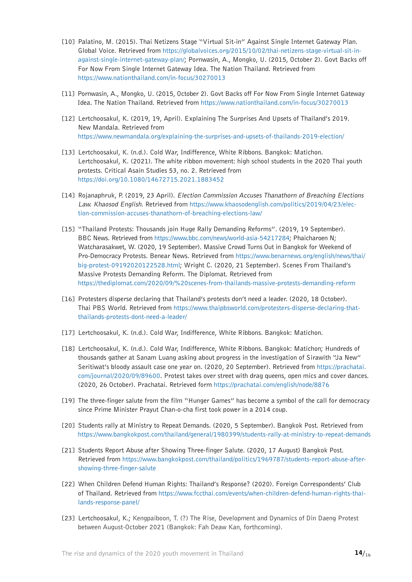- <span id="page-13-0"></span>[10] Palatino, M. (2015). Thai Netizens Stage "Virtual Sit-in" Against Single Internet Gateway Plan. Global Voice. Retrieved from [https://globalvoices.org/2015/10/02/thai-netizens-stage-virtual-sit-in](https://globalvoices.org/2015/10/02/thai-netizens-stage-virtual-sit-in-against-single-internet-gateway-plan/)[against-single-internet-gateway-plan/;](https://globalvoices.org/2015/10/02/thai-netizens-stage-virtual-sit-in-against-single-internet-gateway-plan/) Pornwasin, A., Mongko, U. (2015, October 2). Govt Backs off For Now From Single Internet Gateway Idea. The Nation Thailand. Retrieved from <https://www.nationthailand.com/in-focus/30270013>
- [11] Pornwasin, A., Mongko, U. (2015, October 2). Govt Backs off For Now From Single Internet Gateway Idea. The Nation Thailand. Retrieved from<https://www.nationthailand.com/in-focus/30270013>
- [12] Lertchoosakul, K. (2019, 19, April). Explaining The Surprises And Upsets of Thailand's 2019. New Mandala. Retrieved from <https://www.newmandala.org/explaining-the-surprises-and-upsets-of-thailands-2019-election/>
- [13] Lertchoosakul, K. (n.d.). Cold War, Indifference, White Ribbons. Bangkok: Matichon. Lertchoosakul, K. (2021). The white ribbon movement: high school students in the 2020 Thai youth protests. Critical Asain Studies 53, no. 2. Retrieved from <https://doi.org/10.1080/14672715.2021.1883452>
- [14] Rojanaphruk, P. (2019, 23 April). Election Commission Accuses Thanathorn of Breaching Elections Law. Khaosod English. Retrieved from [https://www.khaosodenglish.com/politics/2019/04/23/elec](https://www.khaosodenglish.com/politics/2019/04/23/election-commission-accuses-thanathorn-of-breaching-elections-law/)[tion-commission-accuses-thanathorn-of-breaching-elections-law/](https://www.khaosodenglish.com/politics/2019/04/23/election-commission-accuses-thanathorn-of-breaching-elections-law/)
- [15] "Thailand Protests: Thousands join Huge Rally Demanding Reforms". (2019, 19 September). BBC News. Retrieved from<https://www.bbc.com/news/world-asia-54217284>; Phaicharoen N; Watcharasakwet, W. (2020, 19 September). Massive Crowd Turns Out in Bangkok for Weekend of Pro-Democracy Protests. Benear News. Retrieved from [https://www.benarnews.org/english/news/thai/](https://www.benarnews.org/english/news/thai/big-protest-09192020122528.html) [big-protest-09192020122528.html](https://www.benarnews.org/english/news/thai/big-protest-09192020122528.html); Wright C. (2020, 21 September). Scenes From Thailand's Massive Protests Demanding Reform. The Diplomat. Retrieved from h<ttps://thediplomat.com/2020/09/%20scenes-from-thailands-massive-protests-demanding-reform>
- [16] Protesters disperse declaring that Thailand's protests don't need a leader. (2020, 18 October). Thai PBS World. Retrieved from [https://www.thaipbsworld.com/protesters-disperse-declaring-that](https://www.thaipbsworld.com/protesters-disperse-declaring-that-thailands-protests-dont-need-a-leader/)[thailands-protests-dont-need-a-leader/](https://www.thaipbsworld.com/protesters-disperse-declaring-that-thailands-protests-dont-need-a-leader/)
- [17] Lertchoosakul, K. (n.d.). Cold War, Indifference, White Ribbons. Bangkok: Matichon.
- [18] Lertchoosakul, K. (n.d.). Cold War, Indifference, White Ribbons. Bangkok: Matichon; Hundreds of thousands gather at Sanam Luang asking about progress in the investigation of Sirawith "Ja New" Seritiwat's bloody assault case one year on. (2020, 20 September). Retrieved from [https://prachatai.](https://prachatai.com/journal/2020/09/89600) [com/journal/2020/09/89600.](https://prachatai.com/journal/2020/09/89600) Protest takes over street with drag queens, open mics and cover dances. (2020, 26 October). Prachatai. Retrieved form<https://prachatai.com/english/node/8876>
- [19] The three-finger salute from the film "Hunger Games" has become a symbol of the call for democracy since Prime Minister Prayut Chan-o-cha first took power in a 2014 coup.
- [20] Students rally at Ministry to Repeat Demands. (2020, 5 September). Bangkok Post. Retrieved from <https://www.bangkokpost.com/thailand/general/1980399/students-rally-at-ministry-to-repeat-demands>
- [21] Students Report Abuse after Showing Three-finger Salute. (2020, 17 August) Bangkok Post. Retrieved from [https://www.bangkokpost.com/thailand/politics/1969787/students-report-abuse-after](https://www.bangkokpost.com/thailand/politics/1969787/students-report-abuse-after-showing-three-finger-salute)[showing-three-finger-salute](https://www.bangkokpost.com/thailand/politics/1969787/students-report-abuse-after-showing-three-finger-salute)
- [22] When Children Defend Human Rights: Thailand's Response? (2020). Foreign Correspondents' Club of Thailand. Retrieved from [https://www.fccthai.com/events/when-children-defend-human-rights-thai](https://www.fccthai.com/events/when-children-defend-human-rights-thailands-response-panel/)[lands-response-panel/](https://www.fccthai.com/events/when-children-defend-human-rights-thailands-response-panel/)
- [23] Lertchoosakul, K.; Kengpaiboon, T. (?) The Rise, Development and Dynamics of Din Daeng Protest between August-October 2021 (Bangkok: Fah Deaw Kan, forthcoming).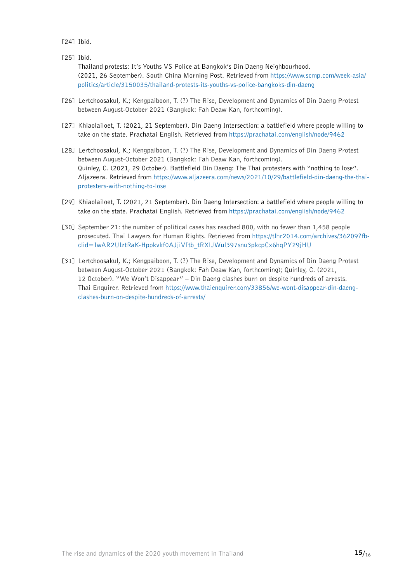<span id="page-14-0"></span> $[24]$  Ibid.

[25] Ibid.

Thailand protests: It's Youths VS Police at Bangkok's Din Daeng Neighbourhood. (2021, 26 September). South China Morning Post. Retrieved from [https://www.scmp.com/week-asia/](https://www.scmp.com/week-asia/politics/article/3150035/thailand-protests-its-youths-vs-police-bangkoks-din-daeng) [politics/article/3150035/thailand-protests-its-youths-vs-police-bangkoks-din-daeng](https://www.scmp.com/week-asia/politics/article/3150035/thailand-protests-its-youths-vs-police-bangkoks-din-daeng)

- [26] Lertchoosakul, K.; Kengpaiboon, T. (?) The Rise, Development and Dynamics of Din Daeng Protest between August-October 2021 (Bangkok: Fah Deaw Kan, forthcoming).
- [27] Khiaolailoet, T. (2021, 21 September). Din Daeng Intersection: a battlefield where people willing to take on the state. Prachatai English. Retrieved from<https://prachatai.com/english/node/9462>
- [28] Lertchoosakul, K.; Kengpaiboon, T. (?) The Rise, Development and Dynamics of Din Daeng Protest between August-October 2021 (Bangkok: Fah Deaw Kan, forthcoming). Quinley, C. (2021, 29 October). Battlefield Din Daeng: The Thai protesters with "nothing to lose". Aljazeera. Retrieved from [https://www.aljazeera.com/news/2021/10/29/battlefield-din-daeng-the-thai](https://www.aljazeera.com/news/2021/10/29/battlefield-din-daeng-the-thai-protesters-with-nothing-to-lose)[protesters-with-nothing-to-lose](https://www.aljazeera.com/news/2021/10/29/battlefield-din-daeng-the-thai-protesters-with-nothing-to-lose)
- [29] Khiaolailoet, T. (2021, 21 September). Din Daeng Intersection: a battlefield where people willing to take on the state. Prachatai English. Retrieved from<https://prachatai.com/english/node/9462>
- [30] September 21: the number of political cases has reached 800, with no fewer than 1,458 people prosecuted. Thai Lawyers for Human Rights. Retrieved from [https://tlhr2014.com/archives/36209?fb](https://tlhr2014.com/archives/36209?fbclid=IwAR2UlztRaK-Hppkvkf0AJjiVItb_tRXlJWul397snu3pkcpCx6hqPY29jHU)[clid=IwAR2UlztRaK-Hppkvkf0AJjiVItb\\_tRXlJWul397snu3pkcpCx6hqPY29jHU](https://tlhr2014.com/archives/36209?fbclid=IwAR2UlztRaK-Hppkvkf0AJjiVItb_tRXlJWul397snu3pkcpCx6hqPY29jHU)
- [31] Lertchoosakul, K.; Kengpaiboon, T. (?) The Rise, Development and Dynamics of Din Daeng Protest between August-October 2021 (Bangkok: Fah Deaw Kan, forthcoming); Quinley, C. (2021, 12 October). "We Won't Disappear" – Din Daeng clashes burn on despite hundreds of arrests. Thai Enquirer. Retrieved from [https://www.thaienquirer.com/33856/we-wont-disappear-din-daeng](https://www.thaienquirer.com/33856/we-wont-disappear-din-daeng-clashes-burn-on-despite-hundreds-of-arrests/)[clashes-burn-on-despite-hundreds-of-arrests/](https://www.thaienquirer.com/33856/we-wont-disappear-din-daeng-clashes-burn-on-despite-hundreds-of-arrests/)